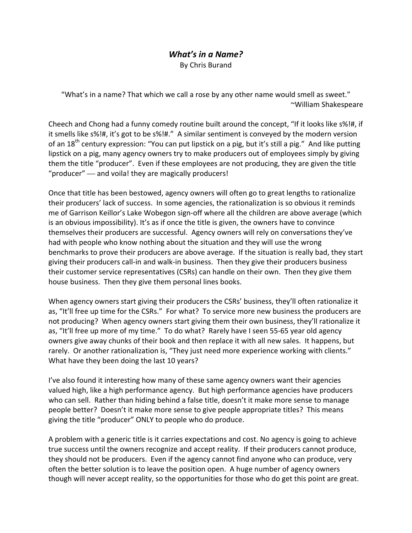## *What's in a Name?*

By Chris Burand

"What's in a name? That which we call a rose by any other name would smell as sweet." ~William Shakespeare

Cheech and Chong had a funny comedy routine built around the concept, "If it looks like s%!#, if it smells like s%!#, it's got to be s%!#." A similar sentiment is conveyed by the modern version of an 18<sup>th</sup> century expression: "You can put lipstick on a pig, but it's still a pig." And like putting lipstick on a pig, many agency owners try to make producers out of employees simply by giving them the title "producer". Even if these employees are not producing, they are given the title "producer" –– and voila! they are magically producers!

Once that title has been bestowed, agency owners will often go to great lengths to rationalize their producers' lack of success. In some agencies, the rationalization is so obvious it reminds me of Garrison Keillor's Lake Wobegon sign-off where all the children are above average (which is an obvious impossibility). It's as if once the title is given, the owners have to convince themselves their producers are successful. Agency owners will rely on conversations they've had with people who know nothing about the situation and they will use the wrong benchmarks to prove their producers are above average. If the situation is really bad, they start giving their producers call‐in and walk‐in business. Then they give their producers business their customer service representatives (CSRs) can handle on their own. Then they give them house business. Then they give them personal lines books.

When agency owners start giving their producers the CSRs' business, they'll often rationalize it as, "It'll free up time for the CSRs." For what? To service more new business the producers are not producing? When agency owners start giving them their own business, they'll rationalize it as, "It'll free up more of my time." To do what? Rarely have I seen 55‐65 year old agency owners give away chunks of their book and then replace it with all new sales. It happens, but rarely. Or another rationalization is, "They just need more experience working with clients." What have they been doing the last 10 years?

I've also found it interesting how many of these same agency owners want their agencies valued high, like a high performance agency. But high performance agencies have producers who can sell. Rather than hiding behind a false title, doesn't it make more sense to manage people better? Doesn't it make more sense to give people appropriate titles? This means giving the title "producer" ONLY to people who do produce.

A problem with a generic title is it carries expectations and cost. No agency is going to achieve true success until the owners recognize and accept reality. If their producers cannot produce, they should not be producers. Even if the agency cannot find anyone who can produce, very often the better solution is to leave the position open. A huge number of agency owners though will never accept reality, so the opportunities for those who do get this point are great.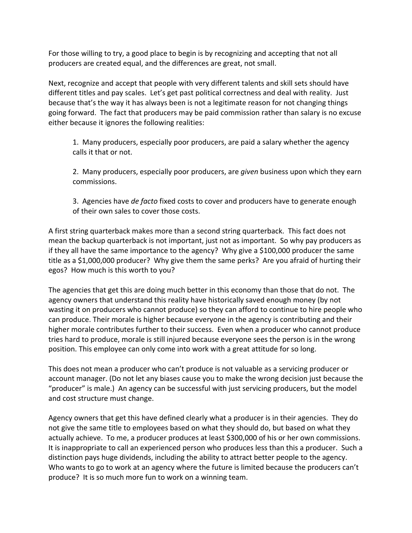For those willing to try, a good place to begin is by recognizing and accepting that not all producers are created equal, and the differences are great, not small.

Next, recognize and accept that people with very different talents and skill sets should have different titles and pay scales. Let's get past political correctness and deal with reality. Just because that's the way it has always been is not a legitimate reason for not changing things going forward. The fact that producers may be paid commission rather than salary is no excuse either because it ignores the following realities:

1. Many producers, especially poor producers, are paid a salary whether the agency calls it that or not.

2. Many producers, especially poor producers, are *given* business upon which they earn commissions.

3. Agencies have *de facto* fixed costs to cover and producers have to generate enough of their own sales to cover those costs.

A first string quarterback makes more than a second string quarterback. This fact does not mean the backup quarterback is not important, just not as important. So why pay producers as if they all have the same importance to the agency? Why give a \$100,000 producer the same title as a \$1,000,000 producer? Why give them the same perks? Are you afraid of hurting their egos? How much is this worth to you?

The agencies that get this are doing much better in this economy than those that do not. The agency owners that understand this reality have historically saved enough money (by not wasting it on producers who cannot produce) so they can afford to continue to hire people who can produce. Their morale is higher because everyone in the agency is contributing and their higher morale contributes further to their success. Even when a producer who cannot produce tries hard to produce, morale is still injured because everyone sees the person is in the wrong position. This employee can only come into work with a great attitude for so long.

This does not mean a producer who can't produce is not valuable as a servicing producer or account manager. (Do not let any biases cause you to make the wrong decision just because the "producer" is male.) An agency can be successful with just servicing producers, but the model and cost structure must change.

Agency owners that get this have defined clearly what a producer is in their agencies. They do not give the same title to employees based on what they should do, but based on what they actually achieve. To me, a producer produces at least \$300,000 of his or her own commissions. It is inappropriate to call an experienced person who produces less than this a producer. Such a distinction pays huge dividends, including the ability to attract better people to the agency. Who wants to go to work at an agency where the future is limited because the producers can't produce? It is so much more fun to work on a winning team.